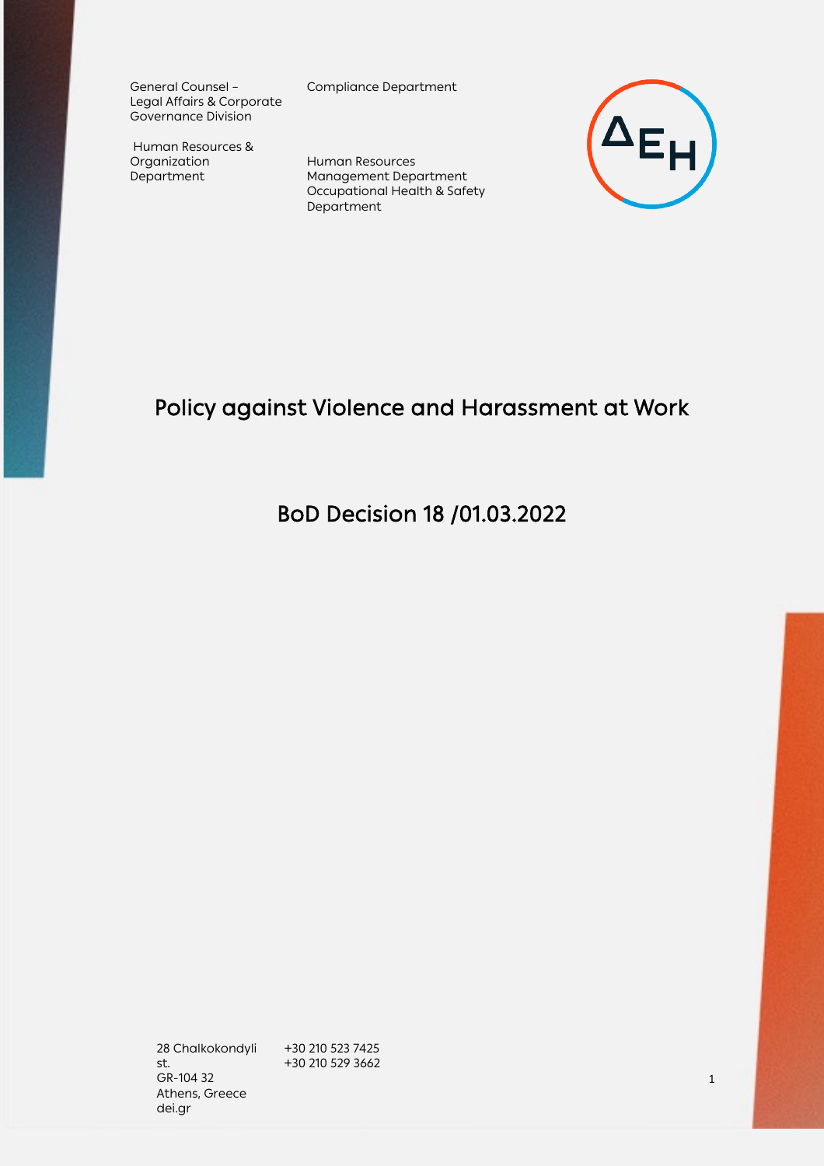General Counsel – Legal Affairs & Corporate Governance Division

Human Resources & Organization Department

Compliance Department

Human Resources Management Department Occupational Health & Safety Department



# Policy against Violence and Harassment at Work

BoD Decision 18 /01.03.2022

28 Chalkokondyli st. GR-104 32 Athens, Greece dei.gr

+30 210 523 7425 +30 210 529 3662

 $\sim$  1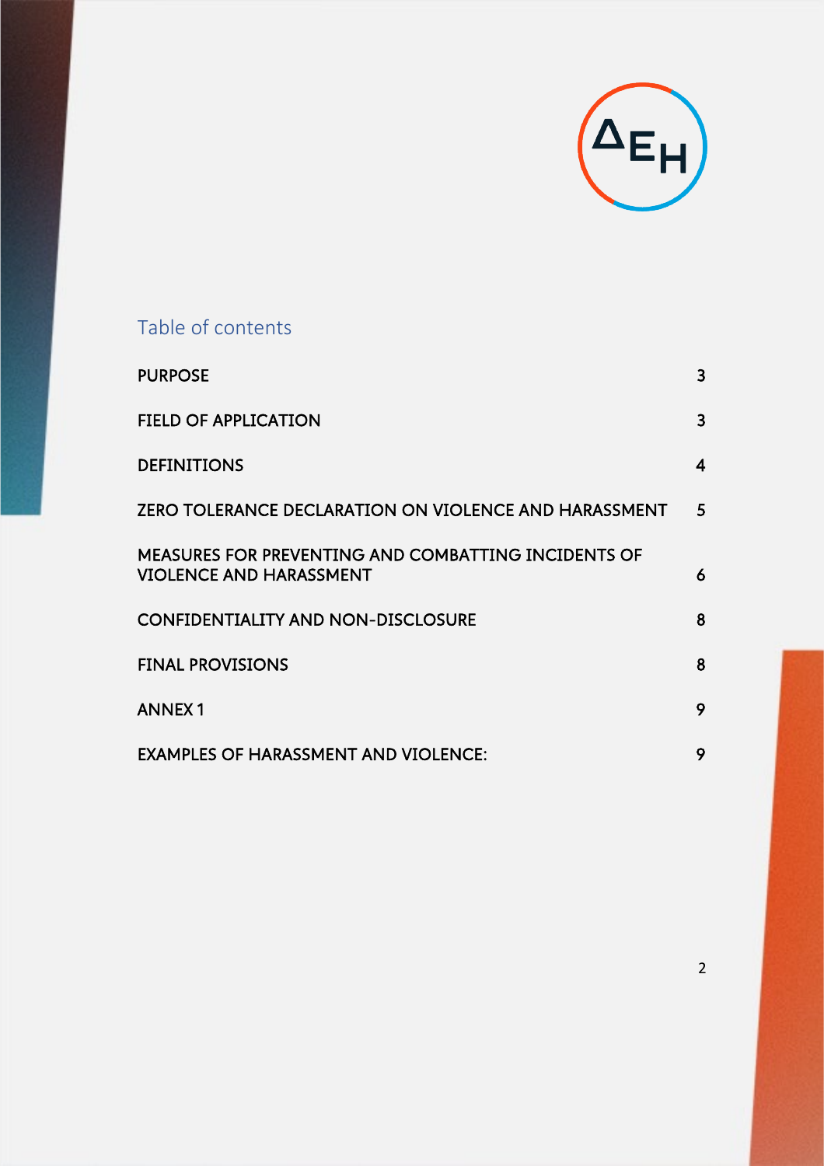

## Table of contents

| <b>PURPOSE</b>                                                                        | 3 |
|---------------------------------------------------------------------------------------|---|
| <b>FIELD OF APPLICATION</b>                                                           | 3 |
| <b>DEFINITIONS</b>                                                                    | 4 |
| ZERO TOLERANCE DECLARATION ON VIOLENCE AND HARASSMENT                                 | 5 |
| MEASURES FOR PREVENTING AND COMBATTING INCIDENTS OF<br><b>VIOLENCE AND HARASSMENT</b> | 6 |
| <b>CONFIDENTIALITY AND NON-DISCLOSURE</b>                                             | 8 |
| <b>FINAL PROVISIONS</b>                                                               | 8 |
| <b>ANNEX1</b>                                                                         | 9 |
| <b>EXAMPLES OF HARASSMENT AND VIOLENCE:</b>                                           | 9 |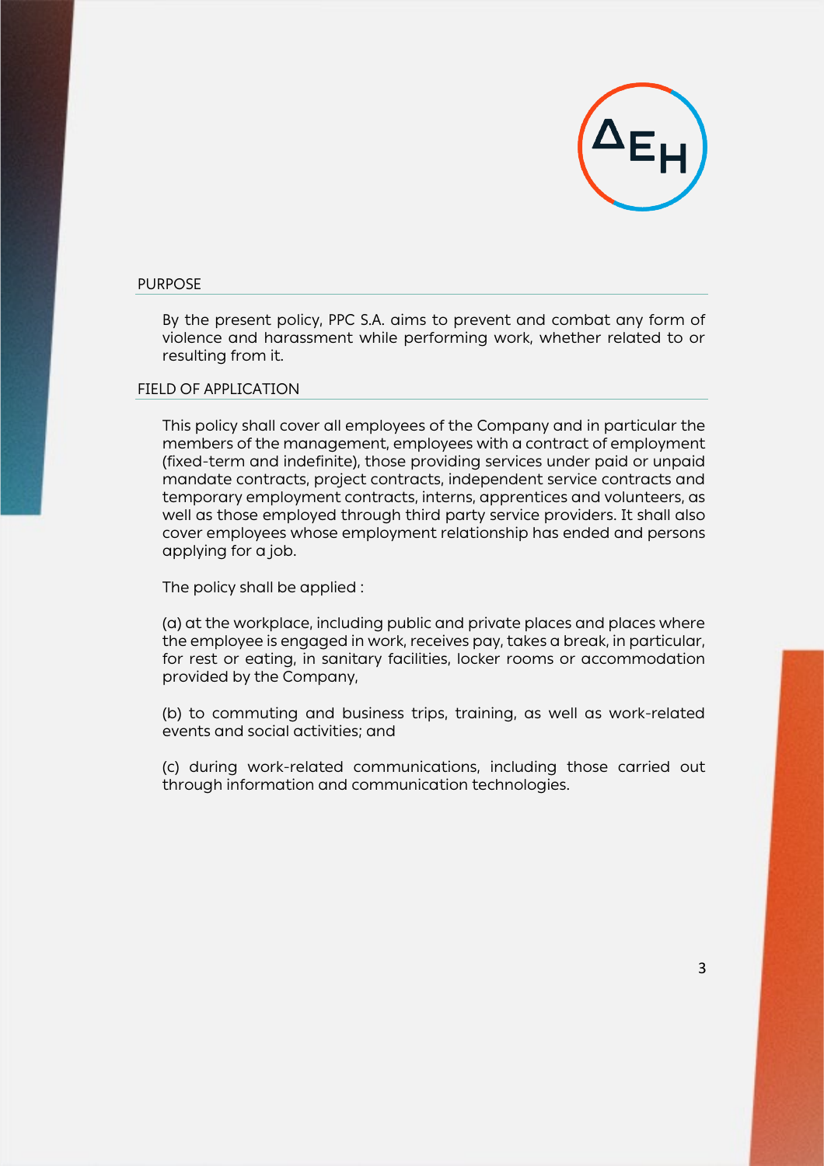

#### <span id="page-2-0"></span>PURPOSE

By the present policy, PPC S.A. aims to prevent and combat any form of violence and harassment while performing work, whether related to or resulting from it.

#### <span id="page-2-1"></span>FIELD OF APPLICATION

This policy shall cover all employees of the Company and in particular the members of the management, employees with a contract of employment (fixed-term and indefinite), those providing services under paid or unpaid mandate contracts, project contracts, independent service contracts and temporary employment contracts, interns, apprentices and volunteers, as well as those employed through third party service providers. It shall also cover employees whose employment relationship has ended and persons applying for a job.

The policy shall be applied :

(a) at the workplace, including public and private places and places where the employee is engaged in work, receives pay, takes a break, in particular, for rest or eating, in sanitary facilities, locker rooms or accommodation provided by the Company,

(b) to commuting and business trips, training, as well as work-related events and social activities; and

(c) during work-related communications, including those carried out through information and communication technologies.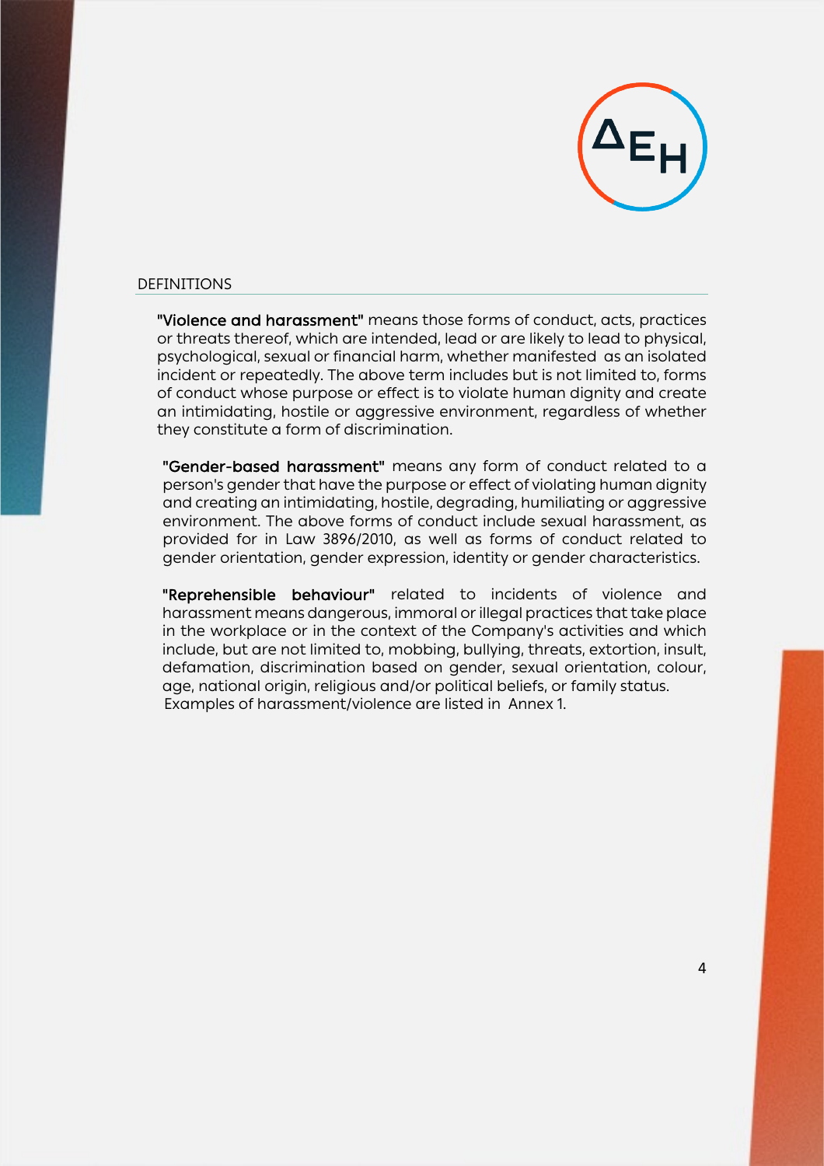

## <span id="page-3-0"></span>DEFINITIONS

"Violence and harassment" means those forms of conduct, acts, practices or threats thereof, which are intended, lead or are likely to lead to physical, psychological, sexual or financial harm, whether manifested as an isolated incident or repeatedly. The above term includes but is not limited to, forms of conduct whose purpose or effect is to violate human dignity and create an intimidating, hostile or aggressive environment, regardless of whether they constitute a form of discrimination.

"Gender-based harassment" means any form of conduct related to a person's gender that have the purpose or effect of violating human dignity and creating an intimidating, hostile, degrading, humiliating or aggressive environment. The above forms of conduct include sexual harassment, as provided for in Law 3896/2010, as well as forms of conduct related to gender orientation, gender expression, identity or gender characteristics.

"Reprehensible behaviour" related to incidents of violence and harassment means dangerous, immoral or illegal practices that take place in the workplace or in the context of the Company's activities and which include, but are not limited to, mobbing, bullying, threats, extortion, insult, defamation, discrimination based on gender, sexual orientation, colour, age, national origin, religious and/or political beliefs, or family status. Examples of harassment/violence are listed in Annex 1.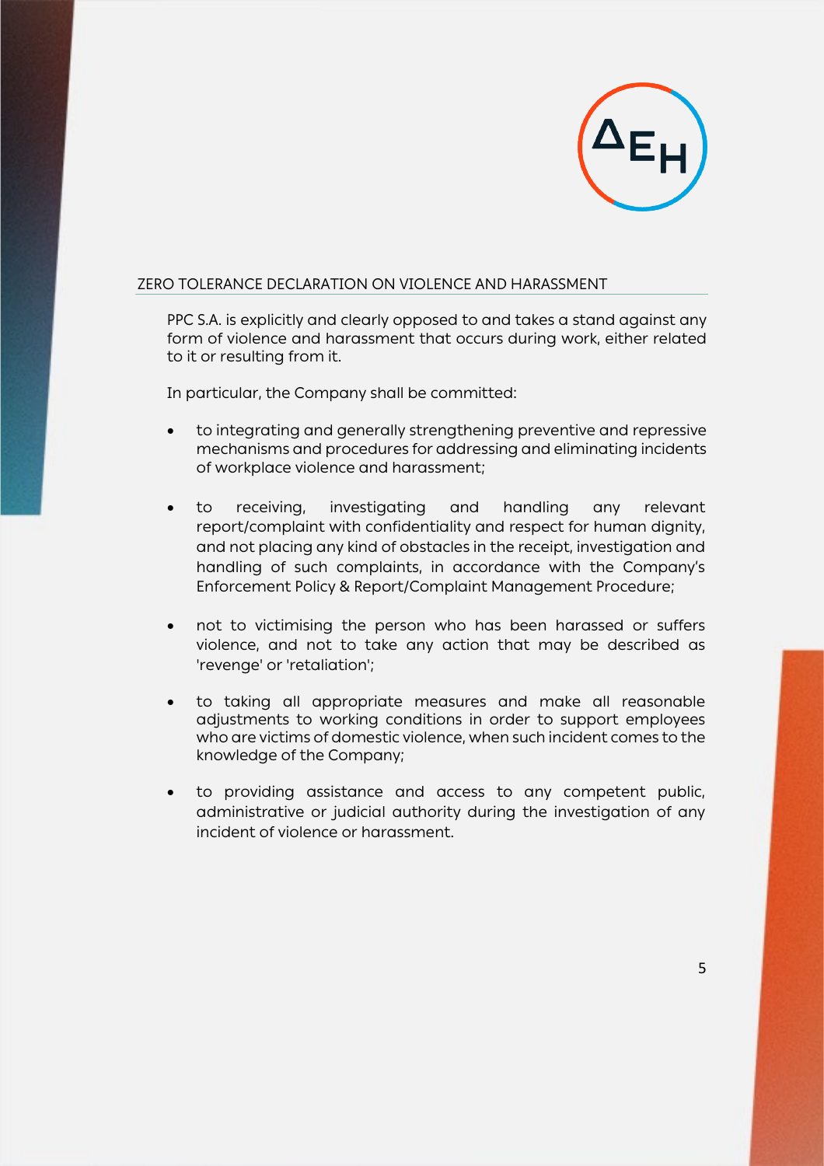

## <span id="page-4-0"></span>ZERO TOLERANCE DECLARATION ON VIOLENCE AND HARASSMENT

PPC S.A. is explicitly and clearly opposed to and takes a stand against any form of violence and harassment that occurs during work, either related to it or resulting from it.

In particular, the Company shall be committed:

- to integrating and generally strengthening preventive and repressive mechanisms and procedures for addressing and eliminating incidents of workplace violence and harassment;
- to receiving, investigating and handling any relevant report/complaint with confidentiality and respect for human dignity, and not placing any kind of obstacles in the receipt, investigation and handling of such complaints, in accordance with the Company's Enforcement Policy & Report/Complaint Management Procedure;
- not to victimising the person who has been harassed or suffers violence, and not to take any action that may be described as 'revenge' or 'retaliation';
- to taking all appropriate measures and make all reasonable adjustments to working conditions in order to support employees who are victims of domestic violence, when such incident comes to the knowledge of the Company;
- to providing assistance and access to any competent public, administrative or judicial authority during the investigation of any incident of violence or harassment.

5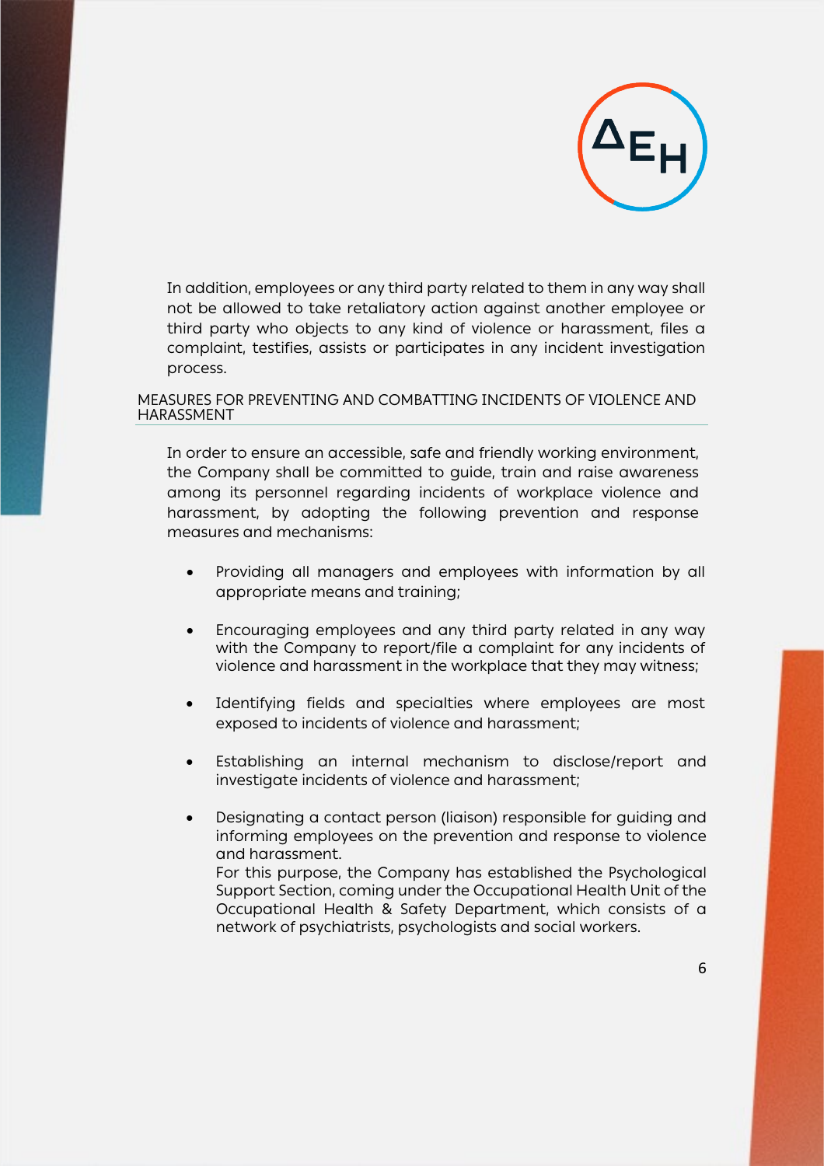

In addition, employees or any third party related to them in any way shall not be allowed to take retaliatory action against another employee or third party who objects to any kind of violence or harassment, files a complaint, testifies, assists or participates in any incident investigation process.

### <span id="page-5-0"></span>MEASURES FOR PREVENTING AND COMBATTING INCIDENTS OF VIOLENCE AND HARASSMENT

In order to ensure an accessible, safe and friendly working environment, the Company shall be committed to guide, train and raise awareness among its personnel regarding incidents of workplace violence and harassment, by adopting the following prevention and response measures and mechanisms:

- Providing all managers and employees with information by all appropriate means and training;
- Encouraging employees and any third party related in any way with the Company to report/file a complaint for any incidents of violence and harassment in the workplace that they may witness;
- Identifying fields and specialties where employees are most exposed to incidents of violence and harassment;
- Establishing an internal mechanism to disclose/report and investigate incidents of violence and harassment;
- Designating a contact person (liaison) responsible for guiding and informing employees on the prevention and response to violence and harassment. For this purpose, the Company has established the Psychological Support Section, coming under the Occupational Health Unit of the Occupational Health & Safety Department, which consists of a network of psychiatrists, psychologists and social workers.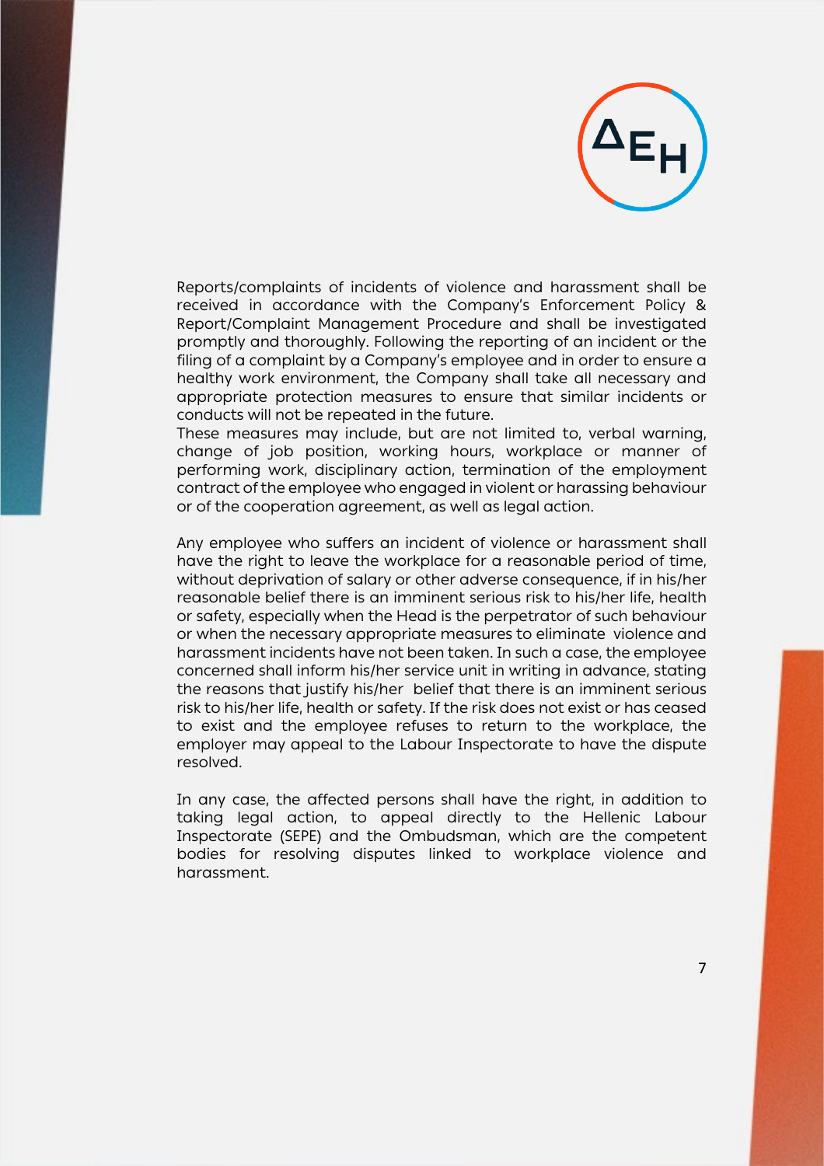

Reports/complaints of incidents of violence and harassment shall be received in accordance with the Company's Enforcement Policy & Report/Complaint Management Procedure and shall be investigated promptly and thoroughly. Following the reporting of an incident or the filing of a complaint by a Company's employee and in order to ensure a healthy work environment, the Company shall take all necessary and appropriate protection measures to ensure that similar incidents or conducts will not be repeated in the future.

These measures may include, but are not limited to, verbal warning, change of job position, working hours, workplace or manner of performing work, disciplinary action, termination of the employment contract of the employee who engaged in violent or harassing behaviour or of the cooperation agreement, as well as legal action.

Any employee who suffers an incident of violence or harassment shall have the right to leave the workplace for a reasonable period of time, without deprivation of salary or other adverse consequence, if in his/her reasonable belief there is an imminent serious risk to his/her life, health or safety, especially when the Head is the perpetrator of such behaviour or when the necessary appropriate measures to eliminate violence and harassment incidents have not been taken. In such a case, the employee concerned shall inform his/her service unit in writing in advance, stating the reasons that justify his/her belief that there is an imminent serious risk to his/her life, health or safety. If the risk does not exist or has ceased to exist and the employee refuses to return to the workplace, the employer may appeal to the Labour Inspectorate to have the dispute resolved.

In any case, the affected persons shall have the right, in addition to taking legal action, to appeal directly to the Hellenic Labour Inspectorate (SEPE) and the Ombudsman, which are the competent bodies for resolving disputes linked to workplace violence and harassment.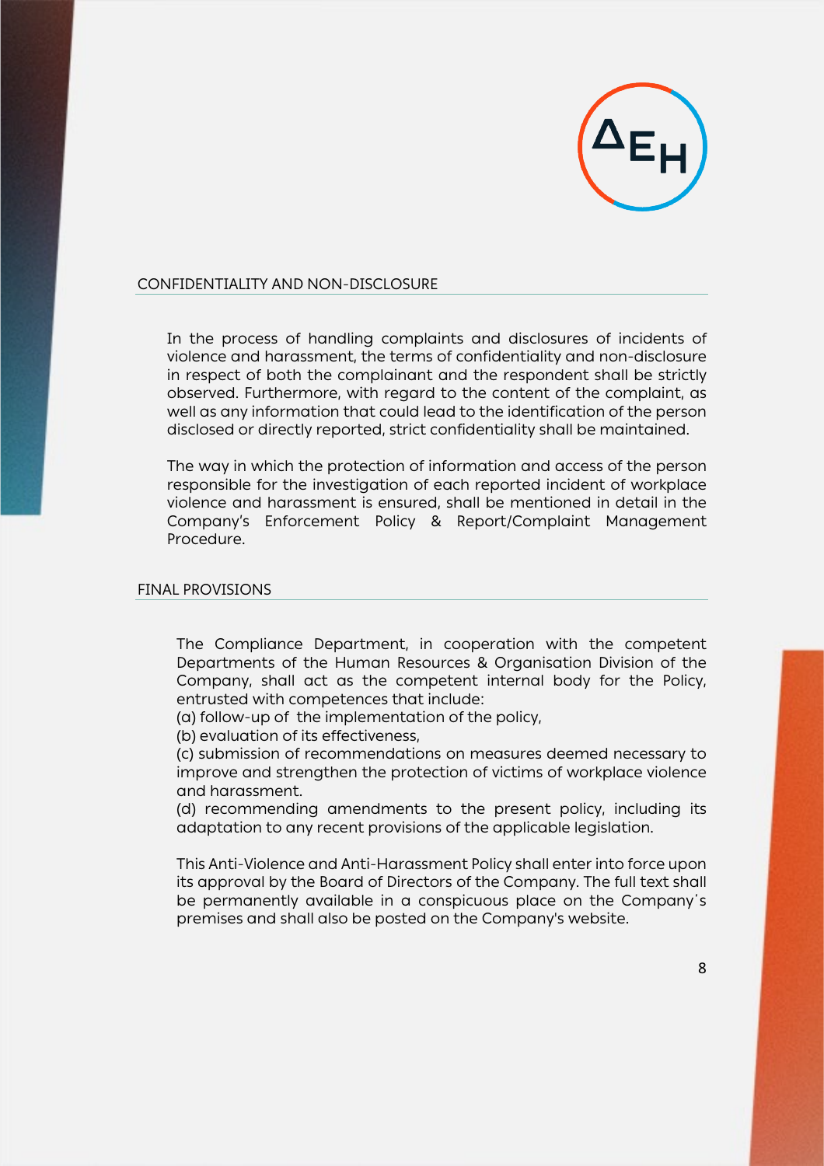

### <span id="page-7-0"></span>CONFIDENTIALITY AND NON-DISCLOSURE

In the process of handling complaints and disclosures of incidents of violence and harassment, the terms of confidentiality and non-disclosure in respect of both the complainant and the respondent shall be strictly observed. Furthermore, with regard to the content of the complaint, as well as any information that could lead to the identification of the person disclosed or directly reported, strict confidentiality shall be maintained.

The way in which the protection of information and access of the person responsible for the investigation of each reported incident of workplace violence and harassment is ensured, shall be mentioned in detail in the Company's Enforcement Policy & Report/Complaint Management Procedure.

#### <span id="page-7-1"></span>FINAL PROVISIONS

The Compliance Department, in cooperation with the competent Departments of the Human Resources & Organisation Division of the Company, shall act as the competent internal body for the Policy, entrusted with competences that include:

(a) follow-up of the implementation of the policy,

(b) evaluation of its effectiveness,

(c) submission of recommendations on measures deemed necessary to improve and strengthen the protection of victims of workplace violence and harassment.

(d) recommending amendments to the present policy, including its adaptation to any recent provisions of the applicable legislation.

This Anti-Violence and Anti-Harassment Policy shall enter into force upon its approval by the Board of Directors of the Company. The full text shall be permanently available in a conspicuous place on the Company΄s premises and shall also be posted on the Company's website.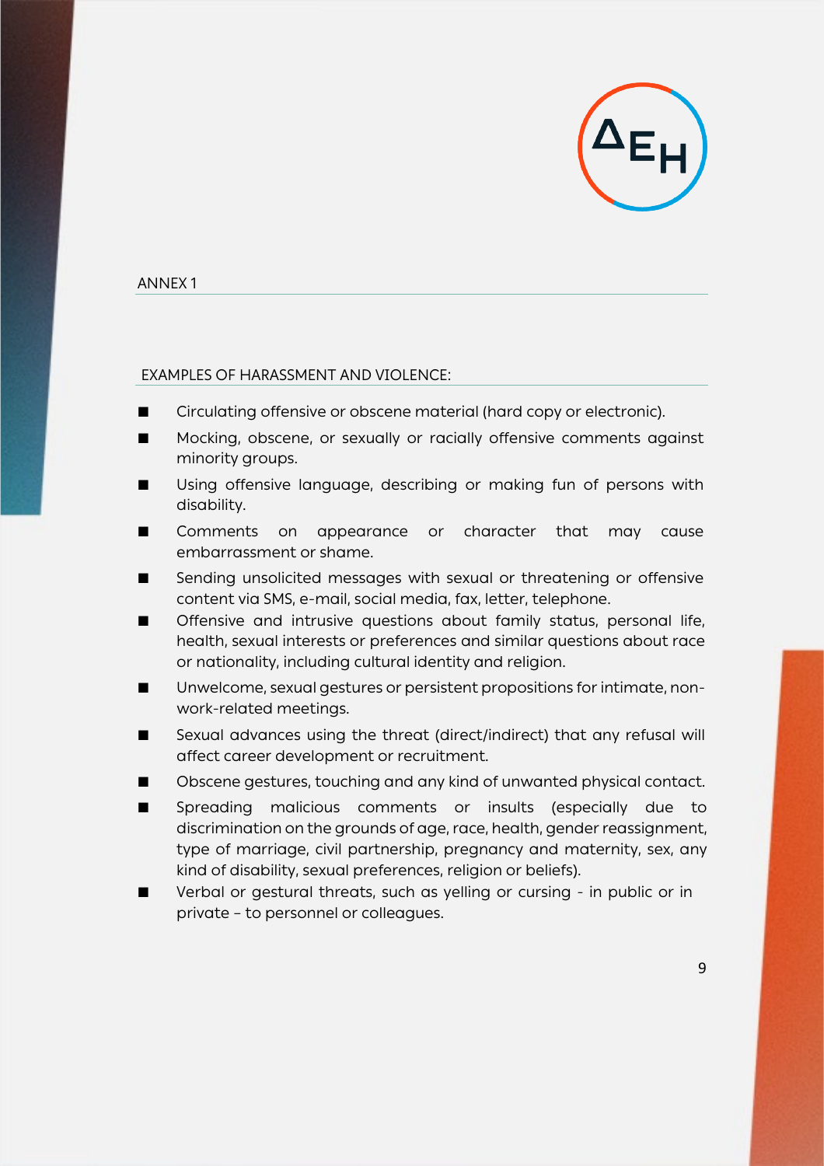

### <span id="page-8-0"></span>ANNEX 1

### <span id="page-8-1"></span>EXAMPLES OF HARASSMENT AND VIOLENCE:

- Circulating offensive or obscene material (hard copy or electronic).
- Mocking, obscene, or sexually or racially offensive comments against minority groups.
- Using offensive language, describing or making fun of persons with disability.
- Comments on appearance or character that may cause embarrassment or shame.
- Sending unsolicited messages with sexual or threatening or offensive content via SMS, e-mail, social media, fax, letter, telephone.
- Offensive and intrusive questions about family status, personal life, health, sexual interests or preferences and similar questions about race or nationality, including cultural identity and religion.
- Unwelcome, sexual gestures or persistent propositions for intimate, nonwork-related meetings.
- Sexual advances using the threat (direct/indirect) that any refusal will affect career development or recruitment.
- Obscene gestures, touching and any kind of unwanted physical contact.
- Spreading malicious comments or insults (especially due to discrimination on the grounds of age, race, health, gender reassignment, type of marriage, civil partnership, pregnancy and maternity, sex, any kind of disability, sexual preferences, religion or beliefs).
- Verbal or gestural threats, such as yelling or cursing in public or in private – to personnel or colleagues.